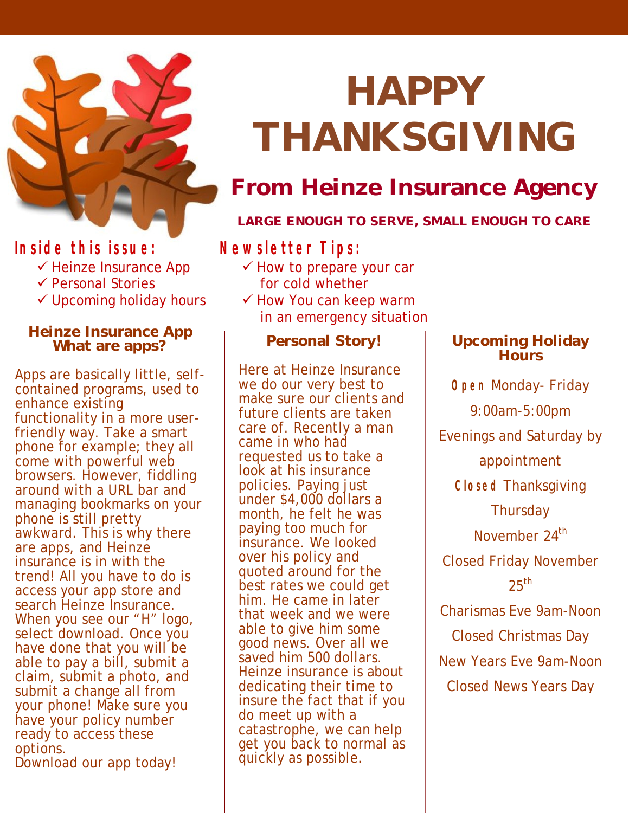

### **Inside this issue:**

- $\checkmark$  Heinze Insurance App
- $\checkmark$  Personal Stories
- $\checkmark$  Upcoming holiday hours

#### **Heinze Insurance App What are apps?**

Apps are basically little, selfcontained programs, used to enhance existing functionality in a more userfriendly way. Take a smart phone for example; they all come with powerful web browsers. However, fiddling around with a URL bar and managing bookmarks on your phone is still pretty awkward. This is why there are apps, and Heinze insurance is in with the trend! All you have to do is access your app store and search Heinze Insurance. When you see our "H" logo, select download. Once you have done that you will be able to pay a bill, submit a claim, submit a photo, and submit a change all from your phone! Make sure you have your policy number ready to access these options. Download our app today!

# **HAPPY THANKSGIVING**

## **From Heinze Insurance Agency**

#### **LARGE ENOUGH TO SERVE, SMALL ENOUGH TO CARE**

### **Newsletter Tips:**

- $\checkmark$  How to prepare your car for cold whether
- $\checkmark$  How You can keep warm in an emergency situation

#### **Personal Story!**

Here at Heinze Insurance we do our very best to make sure our clients and future clients are taken care of. Recently a man came in who had requested us to take a look at his insurance policies. Paying just under \$4,000 dollars a month, he felt he was paying too much for insurance. We looked over his policy and quoted around for the best rates we could get him. He came in later that week and we were able to give him some good news. Over all we saved him 500 dollars. Heinze insurance is about dedicating their time to insure the fact that if you do meet up with a catastrophe, we can help get you back to normal as quickly as possible.

#### **Upcoming Holiday Hours**

**Open** Monday- Friday 9:00am-5:00pm Evenings and Saturday by appointment **Closed** Thanksgiving **Thursday** November 24<sup>th</sup> Closed Friday November  $25<sup>th</sup>$ Charismas Eve 9am-Noon Closed Christmas Day New Years Eve 9am-Noon Closed News Years Day